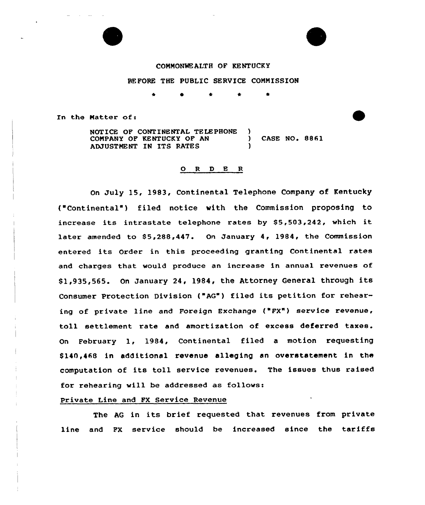

#### COMMONWEALTH OF KENTUCKY

#### BEFORE THE PUBLIC SERVICE COMMISSION

\* \* \*

In the Matter of:

NOTICE OF CONTINENTAL TELEPHONE )<br>COMPANY OF KENTUCKY OF AN COMPANY OF KENTUCKY OF AN ) CASE NO. 8861 ADJUSTMENT IN ITS RATES

## 0 <sup>R</sup> <sup>D</sup> E <sup>R</sup>

On July 15, 1983, Continental Telephone Company of Kentucky ("Continental") filed notice with the Commission proposing to increase its intrastate telephone rates by S5,503,242, which it later amended to \$5,288,447. On January 4, 1984, the Commission entered its Order in this proceeding granting Continental rates and charges that vould produce an increase in annual revenues of S1,935,565. On January 24, 1984, the Attorney General through its Consumer Protection Division ("AG") filed its petition for rehearing of private line and Foreign Exchange ("FX") service revenue, toll settlement rate and amortisation of excess deferred taxes. On February 1, 1984, Continental filed <sup>a</sup> motion requesting S140,468 in additional revenue alleging an overstatement in the computation of its toll service revenues. The issues thus raised for rehearing vill be addressed as follows:

## Private Line and FX Service Revenue

The AG in its brief requested that revenues from private line and FX service should be increased since the tariffs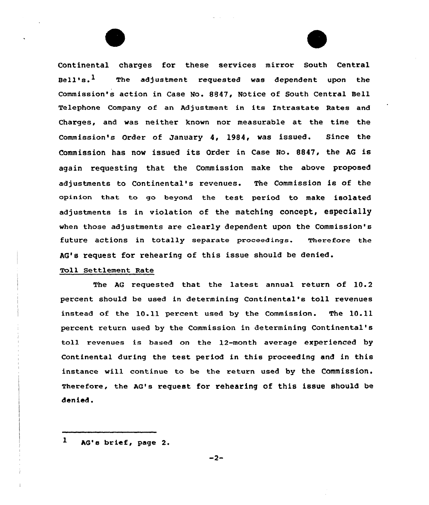Continental charges for these services mirror South Central  $B_{\alpha}$ ll  $\alpha$ <sup>1</sup> 1 The adjustment requested was dependent upon the Commission's action in Case Mo. 8847, Notice of South Central Bell Telephone Company of an Adjustment in its Intrastate Rates and Charges, and was neither knovn nor measurable at the time the Commission's Order of January 4, 1994, was issued. Since the Commission has now issued its Order in Case No. 8847, the AG is again requesting that the Commission make the above proposed adjustments to Continental's revenues. The Commission is of the opinion that to go beyond the test period to make isolated adjustments is in violation of the matching concept, especially when those adjustments are clearly dependent upon the Commission's future actions in totally separate proceedings. Therefore the AG's request for rehearing of this issue should be denied.

# Toll Settlement Rate

The AG requested that the latest annual return of 10.2 percent should be used in determining Continental's toll revenues instead of the 10.11 percent used by the Commission. The 10.11 percent return used by the Commission in determining Continental's toll revenues is based on the 12-month average experienced by Continental during the test period in this proceeding and in this instance vill continue to be the return used by the Commission. Therefore, the Ac's request for rehearing of this issue should be denied.

 $\mathbf{1}$ AG's brief, page 2.

 $-2-$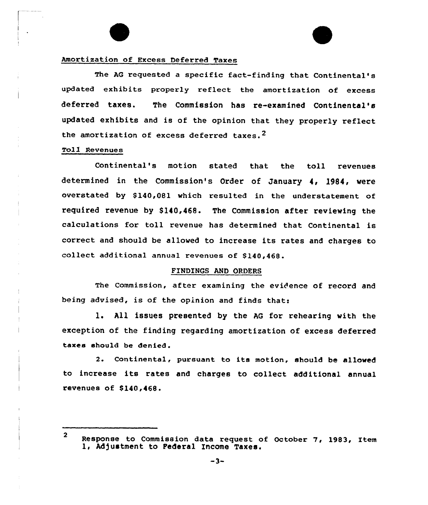# Amortization of Excess Deferred Taxes

The AG requested a specific fact-finding that Continental's updated exhibits properly reflect the amortization of excess deferred taxes. The Commission has re-examined Continental's updated exhibits and is of the opinion that they properly reflect the amortization of excess deferred taxes.<sup>2</sup>

#### Toll Revenues

Continental's motion stated that the toll revenues determined in the Commission's Order of January 4, 1984, vere overstated by \$140,081 which resulted in the understatement of required revenue by \$140,468. The Commission after reviewing the calculations for toll revenue has determined that Continental is correct and should be allowed to increase its rates and charges to collect additional annual revenues of \$140,468.

#### FINDINGS AND ORDERS

The Commission, after examining the evidence of record and being advised, is of the opinion and finds that:

l. All issues presented by the AG for rehearing vith the exception of the finding regarding amortization of excess deferred taxes should be denied .

2. Continental, pursuant to its motion, should be allowed to increase its rates and charges to collect additional annual revenues of  $$140,468$ .

<sup>2</sup> Response to Commission data request of October 7, 1983, Item 1, Adjustment to Federal Income Taxes.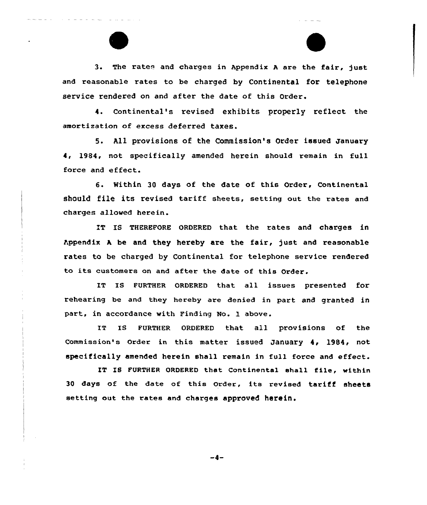3. The rates and charges in Appendix A are the fair, just and reasonable rates to be charged by Continental for telephone service rendered on and after the date of this Order.

4. Continental's revised exhibits properly reflect the amortization of excess deferred taxes.

5. All provisions of the Commission's Order issued january 4, 1984, not specifically amended herein should remain in full force and effect.

6. Within 30 days of the date of this Ordex, Continental should file its revised tariff sheets, setting out the rates and charges allowed herein.

IT IS THEREFORE ORDERED that the rates and charges in Appendix A be and they hereby are the fair, just and reasonable rates to be charged by Continental for telephone service rendered to its customers on and aftex the date of this Order.

IT IS FURTHER ORDERED that all issues presented for rehearing be and they hereby are denied in part and granted in part, in accordance with Finding No. 1 above.

IT IS FURTHER ORDERED that all provisions of the Commission's Order in this matter issued January 4, 1984, not specifically amended herein shall remain in full force and effect.

IT IS FURTHER ORDERED that Continental shall file, within <sup>30</sup> days of the date of this order, its revised tariff sheets setting out the rates and charges approved herein.

-4-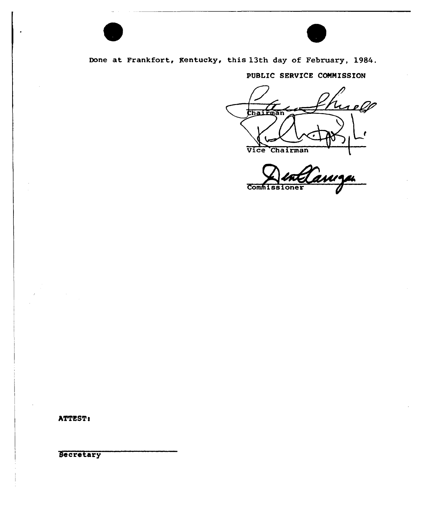

Done at Frankfort, Rentucky, this 13th day of February, 1984.

PUBLIC SERVICE COMMISSION

relf Chair Vice Chairman

Commissioner

ATTEST:

Secretary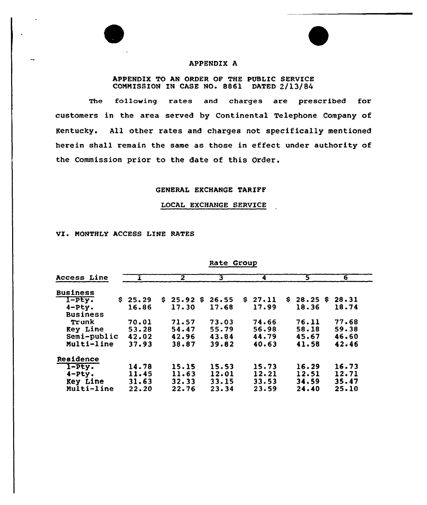

# APPENDIX A

### APPENDIX TO AN ORDER OF THE PUBLIC SERVICE COMMISSION IN CASE NO. 8861 DATED 2/13/84

The following rates and charges are prescribed for customers in the area served by Continental Telephone Company of Kentucky. All other rates and charges not specifically mentioned herein shall remain the same as those in effect under authority of the Commission prior to the date of this Order.

# GENERAL EXCHANGE TARIFF

### LOCAL EXCHANGE SERVICE

# VI. MONTHLY ACCESS LINE RATES

| Access Line     |         | $\mathbf{2}^-$ | 3     | 4           | 5            | 6     |
|-----------------|---------|----------------|-------|-------------|--------------|-------|
| <b>Business</b> |         |                |       |             |              |       |
| $I-PEy.$        | \$25.29 | \$25.92<br>s   | 26.55 | 27.11<br>S. | 28.25S<br>s. | 28.31 |
| $4-Pty.$        | 16.86   | 17.30          | 17.68 | 17.99       | 18.36        | 18.74 |
| <b>Business</b> |         |                |       |             |              |       |
| Trunk           | 70.01   | 71.57          | 73.03 | 74.66       | 76.11        | 77.68 |
| <b>Key Line</b> | 53.28   | 54.47          | 55.79 | 56.98       | 58.18        | 59.38 |
| Semi-public     | 42.02   | 42.96          | 43.84 | 44.79       | 45.67        | 46.60 |
| Multi-line      | 37.93   | 38.87          | 39.82 | 40.63       | 41.58        | 42.46 |
| Residence       |         |                |       |             |              |       |
| $I$ - $Pty$ .   | 14.78   | 15.15          | 15.53 | 15.73       | 16.29        | 16.73 |
| $4-$ Pty.       | 11.45   | 11.63          | 12.01 | 12.21       | 12.51        | 12.71 |
| Key Line        | 31.63   | 32.33          | 33.15 | 33.53       | 34.59        | 35.47 |
| Multi-line      | 22.20   | 22.76          | 23.34 | 23.59       | 24.40        | 25.10 |
|                 |         |                |       |             |              |       |

Rate Group